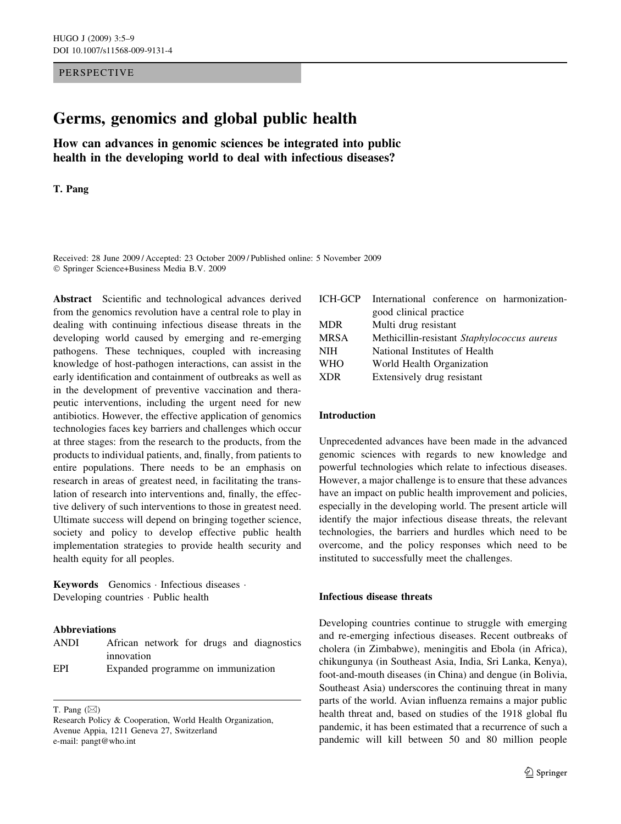## PERSPECTIVE

# Germs, genomics and global public health

How can advances in genomic sciences be integrated into public health in the developing world to deal with infectious diseases?

## T. Pang

Received: 28 June 2009 / Accepted: 23 October 2009 / Published online: 5 November 2009 - Springer Science+Business Media B.V. 2009

Abstract Scientific and technological advances derived from the genomics revolution have a central role to play in dealing with continuing infectious disease threats in the developing world caused by emerging and re-emerging pathogens. These techniques, coupled with increasing knowledge of host-pathogen interactions, can assist in the early identification and containment of outbreaks as well as in the development of preventive vaccination and therapeutic interventions, including the urgent need for new antibiotics. However, the effective application of genomics technologies faces key barriers and challenges which occur at three stages: from the research to the products, from the products to individual patients, and, finally, from patients to entire populations. There needs to be an emphasis on research in areas of greatest need, in facilitating the translation of research into interventions and, finally, the effective delivery of such interventions to those in greatest need. Ultimate success will depend on bringing together science, society and policy to develop effective public health implementation strategies to provide health security and health equity for all peoples.

Keywords Genomics - Infectious diseases - Developing countries - Public health

# Abbreviations

| ANDI |            |                                    |  |  |  | African network for drugs and diagnostics |
|------|------------|------------------------------------|--|--|--|-------------------------------------------|
|      | innovation |                                    |  |  |  |                                           |
| EPI  |            | Expanded programme on immunization |  |  |  |                                           |

T. Pang  $(\boxtimes)$ 

| International conference on harmonization-  |  |  |  |  |  |
|---------------------------------------------|--|--|--|--|--|
| good clinical practice                      |  |  |  |  |  |
| Multi drug resistant                        |  |  |  |  |  |
| Methicillin-resistant Staphylococcus aureus |  |  |  |  |  |
| National Institutes of Health               |  |  |  |  |  |
| World Health Organization                   |  |  |  |  |  |
| Extensively drug resistant                  |  |  |  |  |  |
|                                             |  |  |  |  |  |

#### Introduction

Unprecedented advances have been made in the advanced genomic sciences with regards to new knowledge and powerful technologies which relate to infectious diseases. However, a major challenge is to ensure that these advances have an impact on public health improvement and policies, especially in the developing world. The present article will identify the major infectious disease threats, the relevant technologies, the barriers and hurdles which need to be overcome, and the policy responses which need to be instituted to successfully meet the challenges.

## Infectious disease threats

Developing countries continue to struggle with emerging and re-emerging infectious diseases. Recent outbreaks of cholera (in Zimbabwe), meningitis and Ebola (in Africa), chikungunya (in Southeast Asia, India, Sri Lanka, Kenya), foot-and-mouth diseases (in China) and dengue (in Bolivia, Southeast Asia) underscores the continuing threat in many parts of the world. Avian influenza remains a major public health threat and, based on studies of the 1918 global flu pandemic, it has been estimated that a recurrence of such a pandemic will kill between 50 and 80 million people

Research Policy & Cooperation, World Health Organization, Avenue Appia, 1211 Geneva 27, Switzerland e-mail: pangt@who.int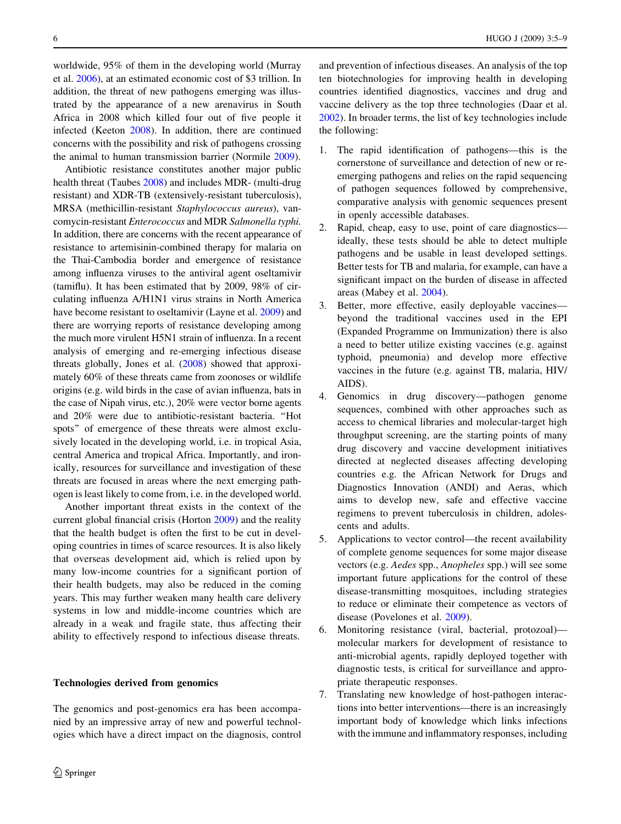worldwide, 95% of them in the developing world (Murray et al. [2006](#page-4-0)), at an estimated economic cost of \$3 trillion. In addition, the threat of new pathogens emerging was illustrated by the appearance of a new arenavirus in South Africa in 2008 which killed four out of five people it infected (Keeton [2008\)](#page-4-0). In addition, there are continued concerns with the possibility and risk of pathogens crossing the animal to human transmission barrier (Normile [2009\)](#page-4-0).

Antibiotic resistance constitutes another major public health threat (Taubes [2008](#page-4-0)) and includes MDR- (multi-drug resistant) and XDR-TB (extensively-resistant tuberculosis), MRSA (methicillin-resistant Staphylococcus aureus), vancomycin-resistant Enterococcus and MDR Salmonella typhi. In addition, there are concerns with the recent appearance of resistance to artemisinin-combined therapy for malaria on the Thai-Cambodia border and emergence of resistance among influenza viruses to the antiviral agent oseltamivir (tamiflu). It has been estimated that by 2009, 98% of circulating influenza A/H1N1 virus strains in North America have become resistant to oseltamivir (Layne et al. [2009](#page-4-0)) and there are worrying reports of resistance developing among the much more virulent H5N1 strain of influenza. In a recent analysis of emerging and re-emerging infectious disease threats globally, Jones et al. [\(2008\)](#page-4-0) showed that approximately 60% of these threats came from zoonoses or wildlife origins (e.g. wild birds in the case of avian influenza, bats in the case of Nipah virus, etc.), 20% were vector borne agents and 20% were due to antibiotic-resistant bacteria. ''Hot spots'' of emergence of these threats were almost exclusively located in the developing world, i.e. in tropical Asia, central America and tropical Africa. Importantly, and ironically, resources for surveillance and investigation of these threats are focused in areas where the next emerging pathogen is least likely to come from, i.e. in the developed world.

Another important threat exists in the context of the current global financial crisis (Horton [2009](#page-4-0)) and the reality that the health budget is often the first to be cut in developing countries in times of scarce resources. It is also likely that overseas development aid, which is relied upon by many low-income countries for a significant portion of their health budgets, may also be reduced in the coming years. This may further weaken many health care delivery systems in low and middle-income countries which are already in a weak and fragile state, thus affecting their ability to effectively respond to infectious disease threats.

#### Technologies derived from genomics

The genomics and post-genomics era has been accompanied by an impressive array of new and powerful technologies which have a direct impact on the diagnosis, control

and prevention of infectious diseases. An analysis of the top ten biotechnologies for improving health in developing countries identified diagnostics, vaccines and drug and vaccine delivery as the top three technologies (Daar et al. [2002](#page-4-0)). In broader terms, the list of key technologies include the following:

- 1. The rapid identification of pathogens—this is the cornerstone of surveillance and detection of new or reemerging pathogens and relies on the rapid sequencing of pathogen sequences followed by comprehensive, comparative analysis with genomic sequences present in openly accessible databases.
- 2. Rapid, cheap, easy to use, point of care diagnostics ideally, these tests should be able to detect multiple pathogens and be usable in least developed settings. Better tests for TB and malaria, for example, can have a significant impact on the burden of disease in affected areas (Mabey et al. [2004](#page-4-0)).
- 3. Better, more effective, easily deployable vaccines beyond the traditional vaccines used in the EPI (Expanded Programme on Immunization) there is also a need to better utilize existing vaccines (e.g. against typhoid, pneumonia) and develop more effective vaccines in the future (e.g. against TB, malaria, HIV/ AIDS).
- 4. Genomics in drug discovery—pathogen genome sequences, combined with other approaches such as access to chemical libraries and molecular-target high throughput screening, are the starting points of many drug discovery and vaccine development initiatives directed at neglected diseases affecting developing countries e.g. the African Network for Drugs and Diagnostics Innovation (ANDI) and Aeras, which aims to develop new, safe and effective vaccine regimens to prevent tuberculosis in children, adolescents and adults.
- 5. Applications to vector control—the recent availability of complete genome sequences for some major disease vectors (e.g. Aedes spp., Anopheles spp.) will see some important future applications for the control of these disease-transmitting mosquitoes, including strategies to reduce or eliminate their competence as vectors of disease (Povelones et al. [2009](#page-4-0)).
- 6. Monitoring resistance (viral, bacterial, protozoal) molecular markers for development of resistance to anti-microbial agents, rapidly deployed together with diagnostic tests, is critical for surveillance and appropriate therapeutic responses.
- 7. Translating new knowledge of host-pathogen interactions into better interventions—there is an increasingly important body of knowledge which links infections with the immune and inflammatory responses, including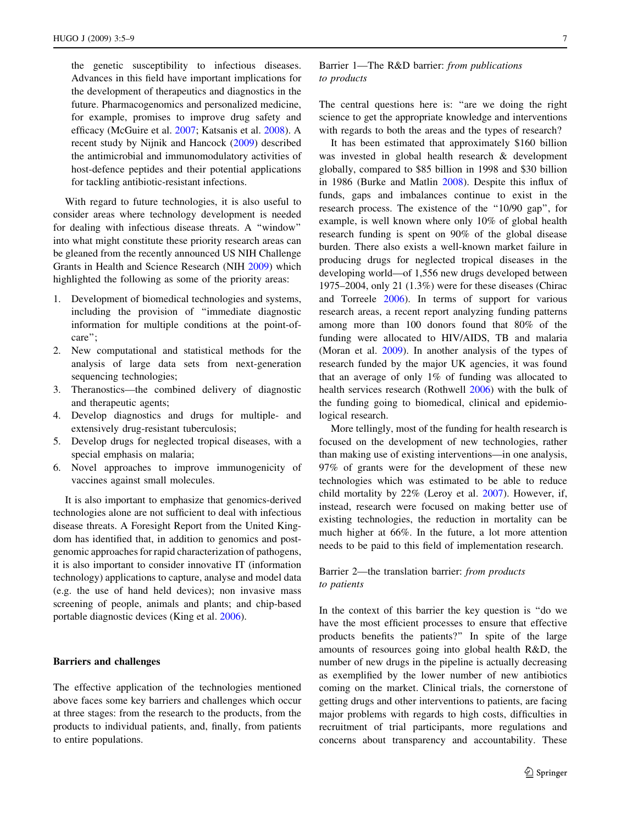the genetic susceptibility to infectious diseases. Advances in this field have important implications for the development of therapeutics and diagnostics in the future. Pharmacogenomics and personalized medicine, for example, promises to improve drug safety and efficacy (McGuire et al. [2007;](#page-4-0) Katsanis et al. [2008](#page-4-0)). A recent study by Nijnik and Hancock [\(2009](#page-4-0)) described the antimicrobial and immunomodulatory activities of host-defence peptides and their potential applications for tackling antibiotic-resistant infections.

With regard to future technologies, it is also useful to consider areas where technology development is needed for dealing with infectious disease threats. A ''window'' into what might constitute these priority research areas can be gleaned from the recently announced US NIH Challenge Grants in Health and Science Research (NIH [2009](#page-4-0)) which highlighted the following as some of the priority areas:

- 1. Development of biomedical technologies and systems, including the provision of ''immediate diagnostic information for multiple conditions at the point-ofcare'';
- 2. New computational and statistical methods for the analysis of large data sets from next-generation sequencing technologies;
- 3. Theranostics—the combined delivery of diagnostic and therapeutic agents;
- 4. Develop diagnostics and drugs for multiple- and extensively drug-resistant tuberculosis;
- 5. Develop drugs for neglected tropical diseases, with a special emphasis on malaria;
- 6. Novel approaches to improve immunogenicity of vaccines against small molecules.

It is also important to emphasize that genomics-derived technologies alone are not sufficient to deal with infectious disease threats. A Foresight Report from the United Kingdom has identified that, in addition to genomics and postgenomic approaches for rapid characterization of pathogens, it is also important to consider innovative IT (information technology) applications to capture, analyse and model data (e.g. the use of hand held devices); non invasive mass screening of people, animals and plants; and chip-based portable diagnostic devices (King et al. [2006\)](#page-4-0).

#### Barriers and challenges

The effective application of the technologies mentioned above faces some key barriers and challenges which occur at three stages: from the research to the products, from the products to individual patients, and, finally, from patients to entire populations.

# Barrier 1—The R&D barrier: from publications to products

The central questions here is: "are we doing the right science to get the appropriate knowledge and interventions with regards to both the areas and the types of research?

It has been estimated that approximately \$160 billion was invested in global health research & development globally, compared to \$85 billion in 1998 and \$30 billion in 1986 (Burke and Matlin [2008](#page-4-0)). Despite this influx of funds, gaps and imbalances continue to exist in the research process. The existence of the ''10/90 gap'', for example, is well known where only 10% of global health research funding is spent on 90% of the global disease burden. There also exists a well-known market failure in producing drugs for neglected tropical diseases in the developing world—of 1,556 new drugs developed between 1975–2004, only 21 (1.3%) were for these diseases (Chirac and Torreele [2006](#page-4-0)). In terms of support for various research areas, a recent report analyzing funding patterns among more than 100 donors found that 80% of the funding were allocated to HIV/AIDS, TB and malaria (Moran et al. [2009\)](#page-4-0). In another analysis of the types of research funded by the major UK agencies, it was found that an average of only 1% of funding was allocated to health services research (Rothwell [2006\)](#page-4-0) with the bulk of the funding going to biomedical, clinical and epidemiological research.

More tellingly, most of the funding for health research is focused on the development of new technologies, rather than making use of existing interventions—in one analysis, 97% of grants were for the development of these new technologies which was estimated to be able to reduce child mortality by 22% (Leroy et al. [2007\)](#page-4-0). However, if, instead, research were focused on making better use of existing technologies, the reduction in mortality can be much higher at 66%. In the future, a lot more attention needs to be paid to this field of implementation research.

# Barrier 2—the translation barrier: from products to patients

In the context of this barrier the key question is ''do we have the most efficient processes to ensure that effective products benefits the patients?'' In spite of the large amounts of resources going into global health R&D, the number of new drugs in the pipeline is actually decreasing as exemplified by the lower number of new antibiotics coming on the market. Clinical trials, the cornerstone of getting drugs and other interventions to patients, are facing major problems with regards to high costs, difficulties in recruitment of trial participants, more regulations and concerns about transparency and accountability. These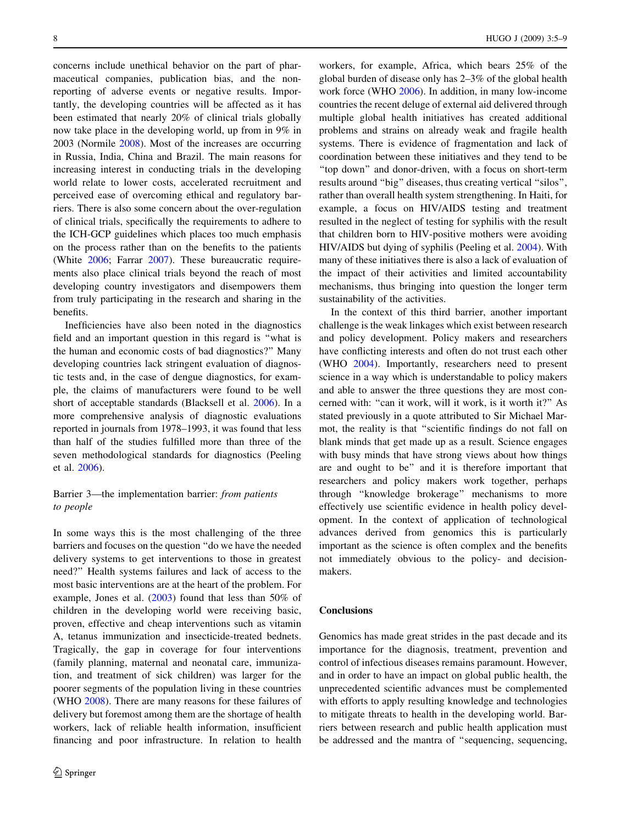concerns include unethical behavior on the part of pharmaceutical companies, publication bias, and the nonreporting of adverse events or negative results. Importantly, the developing countries will be affected as it has been estimated that nearly 20% of clinical trials globally now take place in the developing world, up from in 9% in 2003 (Normile [2008](#page-4-0)). Most of the increases are occurring in Russia, India, China and Brazil. The main reasons for increasing interest in conducting trials in the developing world relate to lower costs, accelerated recruitment and perceived ease of overcoming ethical and regulatory barriers. There is also some concern about the over-regulation of clinical trials, specifically the requirements to adhere to the ICH-GCP guidelines which places too much emphasis on the process rather than on the benefits to the patients (White [2006](#page-4-0); Farrar [2007](#page-4-0)). These bureaucratic requirements also place clinical trials beyond the reach of most developing country investigators and disempowers them from truly participating in the research and sharing in the benefits.

Inefficiencies have also been noted in the diagnostics field and an important question in this regard is ''what is the human and economic costs of bad diagnostics?'' Many developing countries lack stringent evaluation of diagnostic tests and, in the case of dengue diagnostics, for example, the claims of manufacturers were found to be well short of acceptable standards (Blacksell et al. [2006](#page-4-0)). In a more comprehensive analysis of diagnostic evaluations reported in journals from 1978–1993, it was found that less than half of the studies fulfilled more than three of the seven methodological standards for diagnostics (Peeling et al. [2006\)](#page-4-0).

# Barrier 3—the implementation barrier: from patients to people

In some ways this is the most challenging of the three barriers and focuses on the question ''do we have the needed delivery systems to get interventions to those in greatest need?'' Health systems failures and lack of access to the most basic interventions are at the heart of the problem. For example, Jones et al. [\(2003](#page-4-0)) found that less than 50% of children in the developing world were receiving basic, proven, effective and cheap interventions such as vitamin A, tetanus immunization and insecticide-treated bednets. Tragically, the gap in coverage for four interventions (family planning, maternal and neonatal care, immunization, and treatment of sick children) was larger for the poorer segments of the population living in these countries (WHO [2008](#page-4-0)). There are many reasons for these failures of delivery but foremost among them are the shortage of health workers, lack of reliable health information, insufficient financing and poor infrastructure. In relation to health

workers, for example, Africa, which bears 25% of the global burden of disease only has 2–3% of the global health work force (WHO [2006\)](#page-4-0). In addition, in many low-income countries the recent deluge of external aid delivered through multiple global health initiatives has created additional problems and strains on already weak and fragile health systems. There is evidence of fragmentation and lack of coordination between these initiatives and they tend to be ''top down'' and donor-driven, with a focus on short-term results around ''big'' diseases, thus creating vertical ''silos'', rather than overall health system strengthening. In Haiti, for example, a focus on HIV/AIDS testing and treatment resulted in the neglect of testing for syphilis with the result that children born to HIV-positive mothers were avoiding HIV/AIDS but dying of syphilis (Peeling et al. [2004\)](#page-4-0). With many of these initiatives there is also a lack of evaluation of the impact of their activities and limited accountability mechanisms, thus bringing into question the longer term sustainability of the activities.

In the context of this third barrier, another important challenge is the weak linkages which exist between research and policy development. Policy makers and researchers have conflicting interests and often do not trust each other (WHO [2004](#page-4-0)). Importantly, researchers need to present science in a way which is understandable to policy makers and able to answer the three questions they are most concerned with: "can it work, will it work, is it worth it?" As stated previously in a quote attributed to Sir Michael Marmot, the reality is that ''scientific findings do not fall on blank minds that get made up as a result. Science engages with busy minds that have strong views about how things are and ought to be'' and it is therefore important that researchers and policy makers work together, perhaps through ''knowledge brokerage'' mechanisms to more effectively use scientific evidence in health policy development. In the context of application of technological advances derived from genomics this is particularly important as the science is often complex and the benefits not immediately obvious to the policy- and decisionmakers.

## **Conclusions**

Genomics has made great strides in the past decade and its importance for the diagnosis, treatment, prevention and control of infectious diseases remains paramount. However, and in order to have an impact on global public health, the unprecedented scientific advances must be complemented with efforts to apply resulting knowledge and technologies to mitigate threats to health in the developing world. Barriers between research and public health application must be addressed and the mantra of ''sequencing, sequencing,